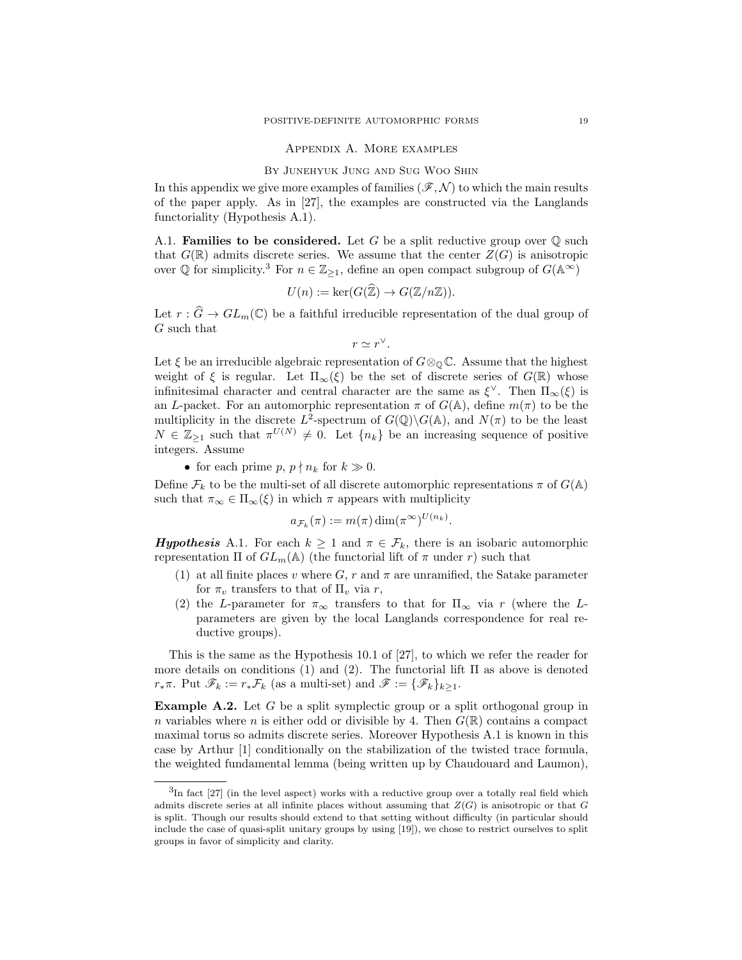## Appendix A. More examples

## B<sup>Y</sup> JUNEHYUK JUNG AND SUG WOO SHIN

In this appendix we give more examples of families  $(\mathscr{F}, \mathcal{N})$  to which the main results of the paper apply. As in [27], the examples are constructed via the Langlands functoriality (Hypothesis A.1).

A.1. **Families to be considered.** Let G be a split reductive group over  $\mathbb{Q}$  such that  $G(\mathbb{R})$  admits discrete series. We assume that the center  $Z(G)$  is anisotropic over  $\mathbb Q$  for simplicity.<sup>3</sup> For  $n \in \mathbb{Z}_{\geq 1}$ , define an open compact subgroup of  $G(\mathbb{A}^{\infty})$ 

$$
U(n) := \ker(G(\mathbb{Z}) \to G(\mathbb{Z}/n\mathbb{Z})).
$$

Let  $r : \widehat{G} \to GL_m(\mathbb{C})$  be a faithful irreducible representation of the dual group of G such that

$$
r \simeq r^{\vee}.
$$

Let  $\xi$  be an irreducible algebraic representation of  $G \otimes_{\mathbb{Q}} \mathbb{C}$ . Assume that the highest weight of  $\xi$  is regular. Let  $\Pi_{\infty}(\xi)$  be the set of discrete series of  $G(\mathbb{R})$  whose infinitesimal character and central character are the same as  $\xi^{\vee}$ . Then  $\Pi_{\infty}(\xi)$  is an L-packet. For an automorphic representation  $\pi$  of  $G(\mathbb{A})$ , define  $m(\pi)$  to be the multiplicity in the discrete  $L^2$ -spectrum of  $G(\mathbb{Q})\backslash G(\mathbb{A})$ , and  $N(\pi)$  to be the least  $N \in \mathbb{Z}_{\geq 1}$  such that  $\pi^{U(N)} \neq 0$ . Let  $\{n_k\}$  be an increasing sequence of positive integers. Assume

• for each prime p,  $p \nmid n_k$  for  $k \gg 0$ .

Define  $\mathcal{F}_k$  to be the multi-set of all discrete automorphic representations  $\pi$  of  $G(\mathbb{A})$ such that  $\pi_{\infty} \in \Pi_{\infty}(\xi)$  in which  $\pi$  appears with multiplicity

$$
a_{\mathcal{F}_k}(\pi) := m(\pi) \dim(\pi^{\infty})^{U(n_k)}.
$$

**Hypothesis** A.1. For each  $k \geq 1$  and  $\pi \in \mathcal{F}_k$ , there is an isobaric automorphic representation  $\Pi$  of  $GL_m(\mathbb{A})$  (the functorial lift of  $\pi$  under r) such that

- (1) at all finite places v where G, r and  $\pi$  are unramified, the Satake parameter for  $\pi_v$  transfers to that of  $\Pi_v$  via r,
- (2) the L-parameter for  $\pi_{\infty}$  transfers to that for  $\Pi_{\infty}$  via r (where the Lparameters are given by the local Langlands correspondence for real reductive groups).

This is the same as the Hypothesis 10.1 of [27], to which we refer the reader for more details on conditions (1) and (2). The functorial lift  $\Pi$  as above is denoted  $r_*\pi$ . Put  $\mathscr{F}_k := r_*\mathcal{F}_k$  (as a multi-set) and  $\mathscr{F} := {\{\mathscr{F}_k\}_{k \geq 1}}$ .

Example A.2. Let G be a split symplectic group or a split orthogonal group in n variables where n is either odd or divisible by 4. Then  $G(\mathbb{R})$  contains a compact maximal torus so admits discrete series. Moreover Hypothesis A.1 is known in this case by Arthur [1] conditionally on the stabilization of the twisted trace formula, the weighted fundamental lemma (being written up by Chaudouard and Laumon),

 ${}^{3}$ In fact [27] (in the level aspect) works with a reductive group over a totally real field which admits discrete series at all infinite places without assuming that  $Z(G)$  is anisotropic or that G is split. Though our results should extend to that setting without difficulty (in particular should include the case of quasi-split unitary groups by using [19]), we chose to restrict ourselves to split groups in favor of simplicity and clarity.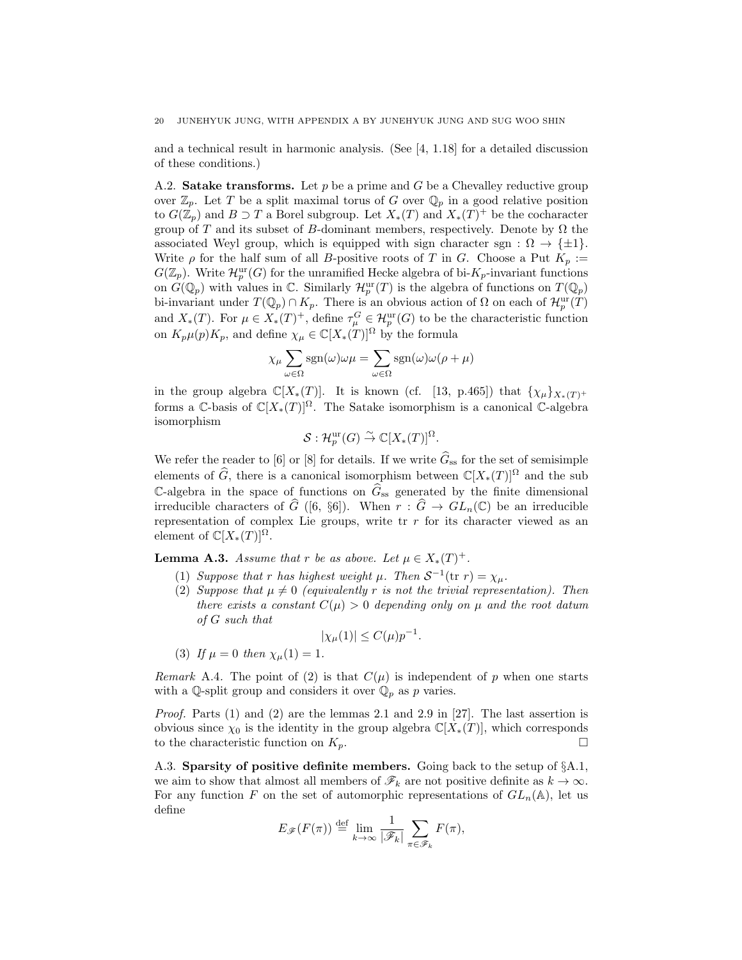and a technical result in harmonic analysis. (See [4, 1.18] for a detailed discussion of these conditions.)

A.2. **Satake transforms.** Let  $p$  be a prime and  $G$  be a Chevalley reductive group over  $\mathbb{Z}_p$ . Let T be a split maximal torus of G over  $\mathbb{Q}_p$  in a good relative position to  $G(\mathbb{Z}_p)$  and  $B \supset T$  a Borel subgroup. Let  $X_*(T)$  and  $X_*(T)^+$  be the cocharacter group of T and its subset of B-dominant members, respectively. Denote by  $\Omega$  the associated Weyl group, which is equipped with sign character sgn :  $\Omega \to {\pm 1}$ . Write  $\rho$  for the half sum of all B-positive roots of T in G. Choose a Put  $K_p :=$  $G(\mathbb{Z}_p)$ . Write  $\mathcal{H}_p^{\text{ur}}(G)$  for the unramified Hecke algebra of bi- $K_p$ -invariant functions on  $G(\mathbb{Q}_p)$  with values in  $\mathbb{C}$ . Similarly  $\mathcal{H}_p^{\text{ur}}(T)$  is the algebra of functions on  $T(\mathbb{Q}_p)$ bi-invariant under  $T(\mathbb{Q}_p) \cap K_p$ . There is an obvious action of  $\Omega$  on each of  $\mathcal{H}_p^{\text{ur}}(T)$ and  $X_*(T)$ . For  $\mu \in X_*(T)^+$ , define  $\tau_\mu^G \in \mathcal{H}_p^{\text{ur}}(G)$  to be the characteristic function on  $K_p\mu(p)K_p$ , and define  $\chi_{\mu} \in \mathbb{C}[X_*(T)]^{\Omega}$  by the formula

$$
\chi_{\mu} \sum_{\omega \in \Omega} \text{sgn}(\omega) \omega \mu = \sum_{\omega \in \Omega} \text{sgn}(\omega) \omega (\rho + \mu)
$$

in the group algebra  $\mathbb{C}[X_*(T)]$ . It is known (cf. [13, p.465]) that  $\{\chi_\mu\}_{X_*(T)^+}$ forms a C-basis of  $\mathbb{C}[X_*(T)]^{\Omega}$ . The Satake isomorphism is a canonical C-algebra isomorphism

$$
\mathcal{S}: \mathcal{H}_p^{\text{ur}}(G) \overset{\sim}{\to} \mathbb{C}[X_*(T)]^{\Omega}.
$$

We refer the reader to [6] or [8] for details. If we write  $\hat{G}_{ss}$  for the set of semisimple elements of  $\widehat{G}$ , there is a canonical isomorphism between  $\mathbb{C}[X_*(T)]^{\Omega}$  and the sub C-algebra in the space of functions on  $\hat{G}_{ss}$  generated by the finite dimensional irreducible characters of  $\widehat{G}$  ([6, §6]). When  $r : \widehat{G} \to GL_n(\mathbb{C})$  be an irreducible representation of complex Lie groups, write  $\operatorname{tr} r$  for its character viewed as an element of  $\mathbb{C}[X_*(T)]^{\Omega}$ .

**Lemma A.3.** *Assume that* r *be as above. Let*  $\mu \in X_*(T)^+$ *.* 

- (1) *Suppose that* r *has highest weight*  $\mu$ *. Then*  $S^{-1}$  (tr r) =  $\chi_{\mu}$ *.*
- (2) *Suppose that*  $\mu \neq 0$  *(equivalently* r *is not the trivial representation). Then there exists a constant*  $C(\mu) > 0$  *depending only on*  $\mu$  *and the root datum of* G *such that*

$$
|\chi_{\mu}(1)| \le C(\mu)p^{-1}.
$$

(3) If 
$$
\mu = 0
$$
 then  $\chi_{\mu}(1) = 1$ .

*Remark* A.4. The point of (2) is that  $C(\mu)$  is independent of p when one starts with a Q-split group and considers it over  $\mathbb{Q}_p$  as p varies.

*Proof.* Parts (1) and (2) are the lemmas 2.1 and 2.9 in [27]. The last assertion is obvious since  $\chi_0$  is the identity in the group algebra  $\mathbb{C}[X_*(T)]$ , which corresponds to the characteristic function on  $K_p$ .

A.3. Sparsity of positive definite members. Going back to the setup of §A.1, we aim to show that almost all members of  $\mathscr{F}_k$  are not positive definite as  $k \to \infty$ . For any function F on the set of automorphic representations of  $GL_n(\mathbb{A})$ , let us define

$$
E_{\mathscr{F}}(F(\pi)) \stackrel{\text{def}}{=} \lim_{k \to \infty} \frac{1}{|\mathscr{F}_k|} \sum_{\pi \in \mathscr{F}_k} F(\pi),
$$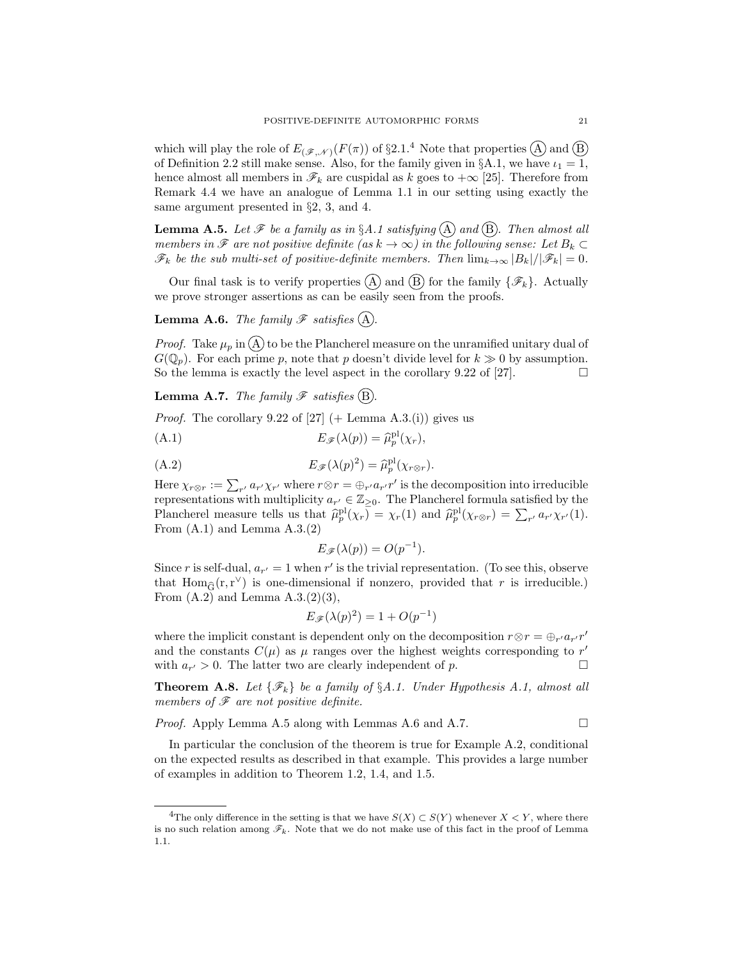which will play the role of  $E_{(\mathscr{F},\mathscr{N})}(F(\pi))$  of §2.1.<sup>4</sup> Note that properties  $(\widehat{A})$  and  $(\widehat{B})$ of Definition 2.2 still make sense. Also, for the family given in §A.1, we have  $i_1 = 1$ , hence almost all members in  $\mathcal{F}_k$  are cuspidal as k goes to  $+\infty$  [25]. Therefore from Remark 4.4 we have an analogue of Lemma 1.1 in our setting using exactly the same argument presented in §2, 3, and 4.

**Lemma A.5.** Let  $\mathscr F$  be a family as in §A.1 satisfying  $\overline{A}$  and  $\overline{B}$ . Then almost all *members in*  $\mathscr F$  *are not positive definite (as*  $k \to \infty$ *) in the following sense: Let*  $B_k \subset$  $\mathscr{F}_k$  *be the sub multi-set of positive-definite members. Then*  $\lim_{k\to\infty} |B_k|/|\mathscr{F}_k| = 0$ *.* 

Our final task is to verify properties (A) and (B) for the family  $\{\mathscr{F}_k\}$ . Actually we prove stronger assertions as can be easily seen from the proofs.

**Lemma A.6.** *The family*  $\mathscr F$  *satisfies* (A).

*Proof.* Take  $\mu_p$  in  $\mathcal{A}$  to be the Plancherel measure on the unramified unitary dual of  $G(\mathbb{Q}_p)$ . For each prime p, note that p doesn't divide level for  $k \gg 0$  by assumption. So the lemma is exactly the level aspect in the corollary 9.22 of [27].  $\Box$ 

**Lemma A.7.** The family  $\mathscr F$  satisfies (B).

*Proof.* The corollary 9.22 of [27]  $(+$  Lemma A.3.(i)) gives us

(A.1) 
$$
E_{\mathscr{F}}(\lambda(p)) = \widehat{\mu}_p^{\mathrm{pl}}(\chi_r),
$$

(A.2) 
$$
E_{\mathscr{F}}(\lambda(p)^2) = \widehat{\mu}_p^{\mathrm{pl}}(\chi_{r\otimes r}).
$$

Here  $\chi_{r\otimes r} := \sum_{r'} a_{r'} \chi_{r'}$  where  $r\otimes r = \bigoplus_{r'} a_{r'} r'$  is the decomposition into irreducible representations with multiplicity  $a_{r'} \in \mathbb{Z}_{\geq 0}$ . The Plancherel formula satisfied by the Plancherel measure tells us that  $\widehat{\mu}_p^{\text{pl}}(\chi_r) = \chi_r(1)$  and  $\widehat{\mu}_p^{\text{pl}}(\chi_{r\otimes r}) = \sum_{r'} a_{r'} \chi_{r'}(1)$ . From  $(A.1)$  and Lemma  $A.3(2)$ 

$$
E_{\mathscr{F}}(\lambda(p)) = O(p^{-1}).
$$

Since r is self-dual,  $a_{r'} = 1$  when r' is the trivial representation. (To see this, observe that  $\text{Hom}_{\widehat{G}}(r,r^{\vee})$  is one-dimensional if nonzero, provided that r is irreducible.) From  $(A.2)$  and Lemma  $A.3(2)(3)$ ,

$$
E_{\mathscr{F}}(\lambda(p)^2) = 1 + O(p^{-1})
$$

where the implicit constant is dependent only on the decomposition  $r \otimes r = \bigoplus_{r'} a_{r'} r'$ and the constants  $C(\mu)$  as  $\mu$  ranges over the highest weights corresponding to r' with  $a_{r'} > 0$ . The latter two are clearly independent of p.

**Theorem A.8.** Let  $\{\mathscr{F}_k\}$  be a family of  $\S A.1$ . Under Hypothesis A.1, almost all *members of* F *are not positive definite.*

*Proof.* Apply Lemma A.5 along with Lemmas A.6 and A.7. □

In particular the conclusion of the theorem is true for Example A.2, conditional on the expected results as described in that example. This provides a large number of examples in addition to Theorem 1.2, 1.4, and 1.5.

<sup>&</sup>lt;sup>4</sup>The only difference in the setting is that we have  $S(X) \subset S(Y)$  whenever  $X \subset Y$ , where there is no such relation among  $\mathscr{F}_k$ . Note that we do not make use of this fact in the proof of Lemma 1.1.